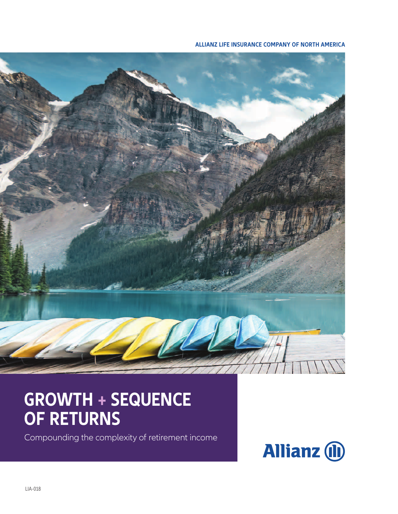#### **ALLIANZ LIFE INSURANCE COMPANY OF NORTH AMERICA**



# **GROWTH + SEQUENCE OF RETURNS**

Compounding the complexity of retirement income

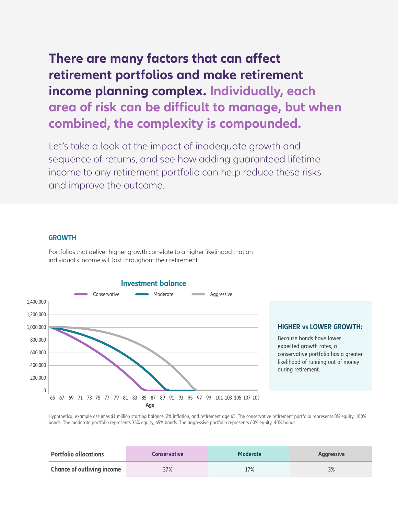### **There are many factors that can affect retirement portfolios and make retirement income planning complex. Individually, each area of risk can be difficult to manage, but when combined, the complexity is compounded.**

Let's take a look at the impact of inadequate growth and sequence of returns, and see how adding guaranteed lifetime income to any retirement portfolio can help reduce these risks and improve the outcome.

#### **GROWTH**

Portfolios that deliver higher growth correlate to a higher likelihood that an individual's income will last throughout their retirement.



conservative portfolio has a greater

Hypothetical example assumes \$1 million starting balance, 2% inflation, and retirement age 65. The conservative retirement portfolio represents 0% equity, 100% bonds. The moderate portfolio represents 35% equity, 65% bonds. The aggressive portfolio represents 60% equity, 40% bonds.

| <b>Portfolio allocations</b>      | <b>Conservative</b> | <b>Moderate</b> | <b>Aggressive</b> |
|-----------------------------------|---------------------|-----------------|-------------------|
| <b>Chance of outliving income</b> | 37%                 | 17%             | 3%                |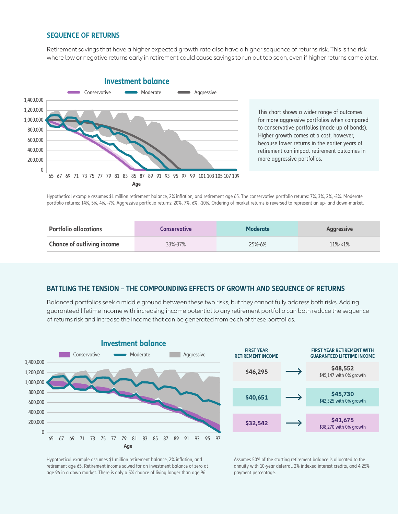#### **SEQUENCE OF RETURNS**

Retirement savings that have a higher expected growth rate also have a higher sequence of returns risk. This is the risk where low or negative returns early in retirement could cause savings to run out too soon, even if higher returns came later.



This chart shows a wider range of outcomes for more aggressive portfolios when compared to conservative portfolios (made up of bonds). Higher growth comes at a cost, however, because lower returns in the earlier years of retirement can impact retirement outcomes in more aggressive portfolios.

Hypothetical example assumes \$1 million retirement balance, 2% inflation, and retirement age 65. The conservative portfolio returns: 7%, 3%, 2%, -3%. Moderate portfolio returns: 14%, 5%, 4%, -7%. Aggressive portfolio returns: 20%, 7%, 6%, -10%. Ordering of market returns is reversed to represent an up- and down-market.

| <b>Portfolio allocations</b>      | <b>Conservative</b> | <b>Moderate</b> | <b>Aggressive</b> |
|-----------------------------------|---------------------|-----------------|-------------------|
| <b>Chance of outliving income</b> | 33%-37%             | $25% - 6%$      | $11\% - 1\%$      |

#### **BATTLING THE TENSION – THE COMPOUNDING EFFECTS OF GROWTH AND SEQUENCE OF RETURNS**

Balanced portfolios seek a middle ground between these two risks, but they cannot fully address both risks. Adding guaranteed lifetime income with increasing income potential to any retirement portfolio can both reduce the sequence of returns risk and increase the income that can be generated from each of these portfolios.





Hypothetical example assumes \$1 million retirement balance, 2% inflation, and retirement age 65. Retirement income solved for an investment balance of zero at age 96 in a down market. There is only a 5% chance of living longer than age 96.

Assumes 50% of the starting retirement balance is allocated to the annuity with 10-year deferral, 2% indexed interest credits, and 4.25% payment percentage.